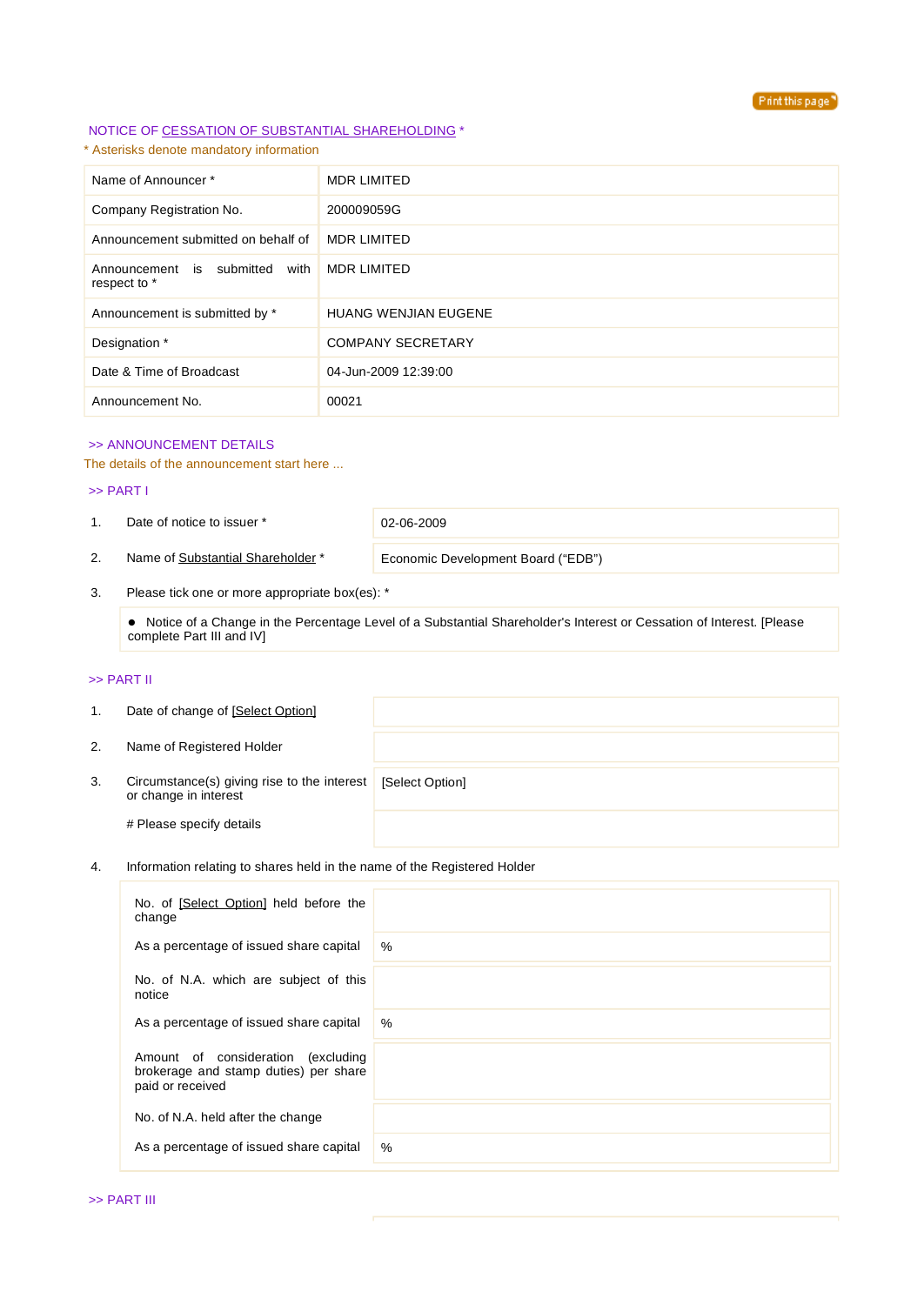

### NOTICE OF CESSATION OF SUBSTANTIAL SHAREHOLDING \*

\* Asterisks denote mandatory information

| Name of Announcer*                                | <b>MDR LIMITED</b>          |
|---------------------------------------------------|-----------------------------|
| Company Registration No.                          | 200009059G                  |
| Announcement submitted on behalf of               | <b>MDR LIMITED</b>          |
| with<br>Announcement is submitted<br>respect to * | <b>MDR LIMITED</b>          |
| Announcement is submitted by *                    | <b>HUANG WENJIAN EUGENE</b> |
| Designation *                                     | <b>COMPANY SECRETARY</b>    |
| Date & Time of Broadcast                          | 04-Jun-2009 12:39:00        |
| Announcement No.                                  | 00021                       |

## >> ANNOUNCEMENT DETAILS

The details of the announcement start here ...

#### >> PART I

1. Date of notice to issuer \* 02-06-2009

2. Name of Substantial Shareholder<sup>\*</sup> Economic Development Board ("EDB")

3. Please tick one or more appropriate box(es): \*

 Notice of a Change in the Percentage Level of a Substantial Shareholder's Interest or Cessation of Interest. [Please complete Part III and IV]

## >> PART II

| 1. | Date of change of [Select Option]                                    |                 |
|----|----------------------------------------------------------------------|-----------------|
| 2. | Name of Registered Holder                                            |                 |
| 3. | Circumstance(s) giving rise to the interest<br>or change in interest | [Select Option] |
|    | # Please specify details                                             |                 |

### 4. Information relating to shares held in the name of the Registered Holder

| No. of [Select Option] held before the<br>change                                                   |      |
|----------------------------------------------------------------------------------------------------|------|
| As a percentage of issued share capital                                                            | $\%$ |
| No. of N.A. which are subject of this<br>notice                                                    |      |
| As a percentage of issued share capital                                                            | $\%$ |
| Amount of consideration<br>(excluding<br>brokerage and stamp duties) per share<br>paid or received |      |
| No. of N.A. held after the change                                                                  |      |
| As a percentage of issued share capital                                                            | $\%$ |